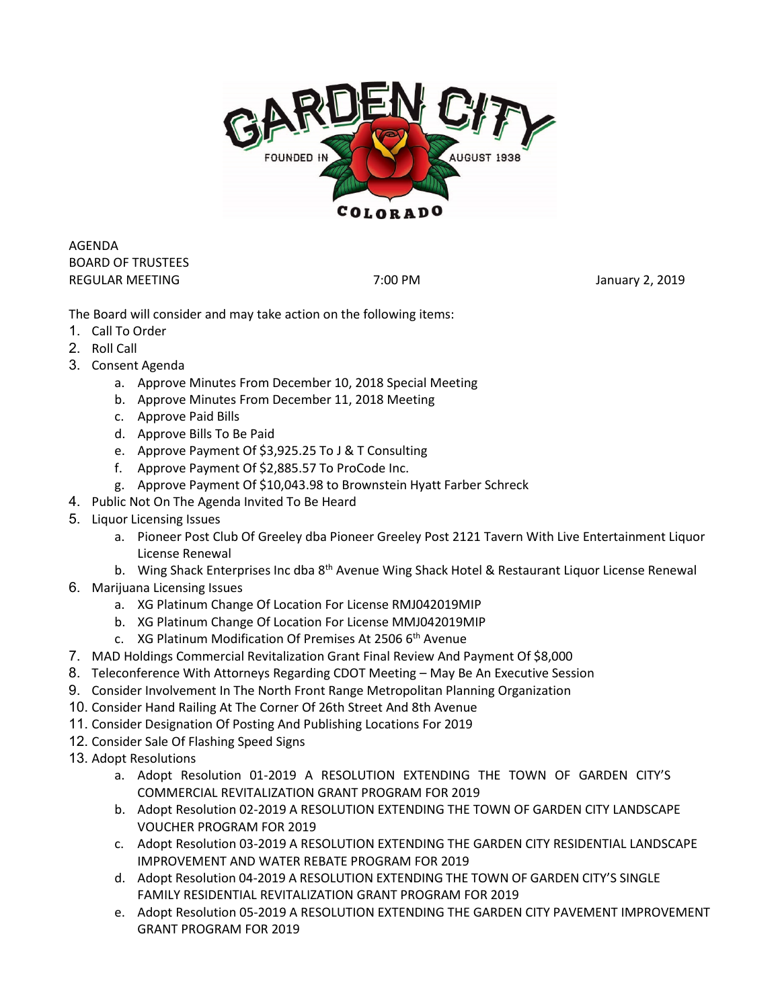

AGENDA BOARD OF TRUSTEES REGULAR MEETING **The CONSTRUCTER STATES ASSESSED** 7:00 PM **The CONSTRUCT STATES 2019** 

The Board will consider and may take action on the following items:

- 1. Call To Order
- 2. Roll Call
- 3. Consent Agenda
	- a. Approve Minutes From December 10, 2018 Special Meeting
	- b. Approve Minutes From December 11, 2018 Meeting
	- c. Approve Paid Bills
	- d. Approve Bills To Be Paid
	- e. Approve Payment Of \$3,925.25 To J & T Consulting
	- f. Approve Payment Of \$2,885.57 To ProCode Inc.
	- g. Approve Payment Of \$10,043.98 to Brownstein Hyatt Farber Schreck
- 4. Public Not On The Agenda Invited To Be Heard
- 5. Liquor Licensing Issues
	- a. Pioneer Post Club Of Greeley dba Pioneer Greeley Post 2121 Tavern With Live Entertainment Liquor License Renewal
	- b. Wing Shack Enterprises Inc dba 8<sup>th</sup> Avenue Wing Shack Hotel & Restaurant Liquor License Renewal
- 6. Marijuana Licensing Issues
	- a. XG Platinum Change Of Location For License RMJ042019MIP
	- b. XG Platinum Change Of Location For License MMJ042019MIP
	- c. XG Platinum Modification Of Premises At 2506 6th Avenue
- 7. MAD Holdings Commercial Revitalization Grant Final Review And Payment Of \$8,000
- 8. Teleconference With Attorneys Regarding CDOT Meeting May Be An Executive Session
- 9. Consider Involvement In The North Front Range Metropolitan Planning Organization
- 10. Consider Hand Railing At The Corner Of 26th Street And 8th Avenue
- 11. Consider Designation Of Posting And Publishing Locations For 2019
- 12. Consider Sale Of Flashing Speed Signs
- 13. Adopt Resolutions
	- a. Adopt Resolution 01-2019 A RESOLUTION EXTENDING THE TOWN OF GARDEN CITY'S COMMERCIAL REVITALIZATION GRANT PROGRAM FOR 2019
	- b. Adopt Resolution 02-2019 A RESOLUTION EXTENDING THE TOWN OF GARDEN CITY LANDSCAPE VOUCHER PROGRAM FOR 2019
	- c. Adopt Resolution 03-2019 A RESOLUTION EXTENDING THE GARDEN CITY RESIDENTIAL LANDSCAPE IMPROVEMENT AND WATER REBATE PROGRAM FOR 2019
	- d. Adopt Resolution 04-2019 A RESOLUTION EXTENDING THE TOWN OF GARDEN CITY'S SINGLE FAMILY RESIDENTIAL REVITALIZATION GRANT PROGRAM FOR 2019
	- e. Adopt Resolution 05-2019 A RESOLUTION EXTENDING THE GARDEN CITY PAVEMENT IMPROVEMENT GRANT PROGRAM FOR 2019